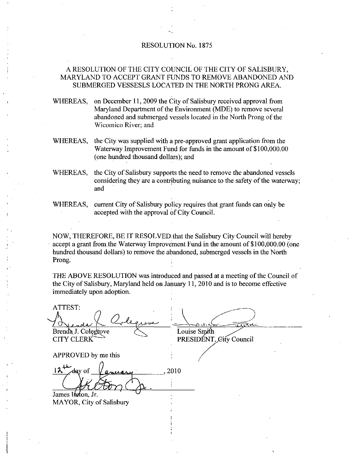## RESOLUTION No. 1875

## A RESOLUTION OF THE CITY COUNCIL OF THE CITY OF SALISBURY MARYLAND TO ACCEPT GRANT FUNDS TO REMOVE ABANDONED AND SUBMERGED VESSESLS LOCATED FN THE NORTH PRONG AREA

WHEREAS, on December 11, 2009 the City of Salisbury received approval from Maryland Department of the Environment (MDE) to remove several abandoned and submerged vessels located in the North Prong of the Wicomico River: and

- WHEREAS, the City was supplied with a pre-approved grant application from the Waterway Improvement Fund for funds in the amount of \$100,000.00 (one hundred thousand dollars); and
- WHEREAS, the City of Salisbury supports the need to remove the abandoned vessels considering they are a contributing nuisance to the safety of the waterway; and
- WHEREAS, current City of Salisbury policy requires that grant funds can only be accepted with the approval of City Council.

NOW, THEREFORE, BE IT RESOLVED that the Salisbury City Council will hereby accept a grant from the Waterway Improvement Fund in the amount of  $$100,000.00$  (one hundred thousand dollars) to remove the abandoned, submerged vessels in the North Prong

THE ABOVE RESOLUTION was introduced and passed at ameeting ofthe Council of the City of Salisbury, Maryland held on January 11, 2010 and is to become effective immediately upon adoption

NOW, THERI<br>accept a grant<br>hundred thous:<br>Prong.<br>THE ABOVE<br>the City of Sal<br>immediately u<br>ATTEST:<br>A<br>Renda J. Cole Louise Smith PRESIDÉNT, City Council **CITY CLERK** APPROVED by me this  $12^4$ <del>d</del>av of 2010 James Ifeton, Jr. MAYOR, City of Salisbury